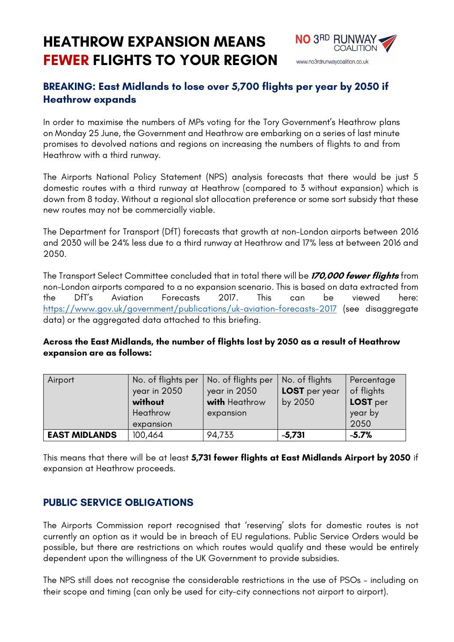# **HEATHROW EXPANSION MEANS FEWER FLIGHTS TO YOUR REGION**



## **BREAKING: East Midlands to lose over 5,700 flights per year by 2050 if Heathrow expands**

In order to maximise the numbers of MPs voting for the Tory Government's Heathrow plans on Monday 25 June, the Government and Heathrow are embarking on a series of last minute promises to devolved nations and regions on increasing the numbers of flights to and from Heathrow with a third runway.

The Airports National Policy Statement (NPS) analysis forecasts that there would be just 5 domestic routes with a third runway at Heathrow (compared to 3 without expansion) which is down from 8 today. Without a regional slot allocation preference or some sort subsidy that these new routes may not be commercially viable.

The Department for Transport (DfT) forecasts that growth at non-London airports between 2016 and 2030 will be 24% less due to a third runway at Heathrow and 17% less at between 2016 and 2050.

The Transport Select Committee concluded that in total there will be **170,000 fewer flights** from non-London airports compared to a no expansion scenario. This is based on data extracted from the DfT's Aviation Forecasts 2017. This can be viewed here: https://www.gov.uk/government/publications/uk-aviation-forecasts-2017 (see disaggregate data) or the aggregated data attached to this briefing.

#### **Across the East Midlands, the number of flights lost by 2050 as a result of Heathrow expansion are as follows:**

| Airport              | No. of flights per<br>year in 2050<br>without<br>Heathrow<br>expansion | No. of flights per<br>year in 2050<br>with Heathrow<br>expansion | No. of flights<br>LOST per year<br>by 2050 | Percentage<br>of flights<br>LOST per<br>year by<br>2050 |
|----------------------|------------------------------------------------------------------------|------------------------------------------------------------------|--------------------------------------------|---------------------------------------------------------|
| <b>EAST MIDLANDS</b> | 100,464                                                                | 94,733                                                           | $-5,731$                                   | $-5.7%$                                                 |

This means that there will be at least **5,731 fewer flights at East Midlands Airport by 2050** if expansion at Heathrow proceeds.

### **PUBLIC SERVICE OBLIGATIONS**

The Airports Commission report recognised that 'reserving' slots for domestic routes is not currently an option as it would be in breach of EU regulations. Public Service Orders would be possible, but there are restrictions on which routes would qualify and these would be entirely dependent upon the willingness of the UK Government to provide subsidies.

The NPS still does not recognise the considerable restrictions in the use of PSOs – including on their scope and timing (can only be used for city-city connections not airport to airport).